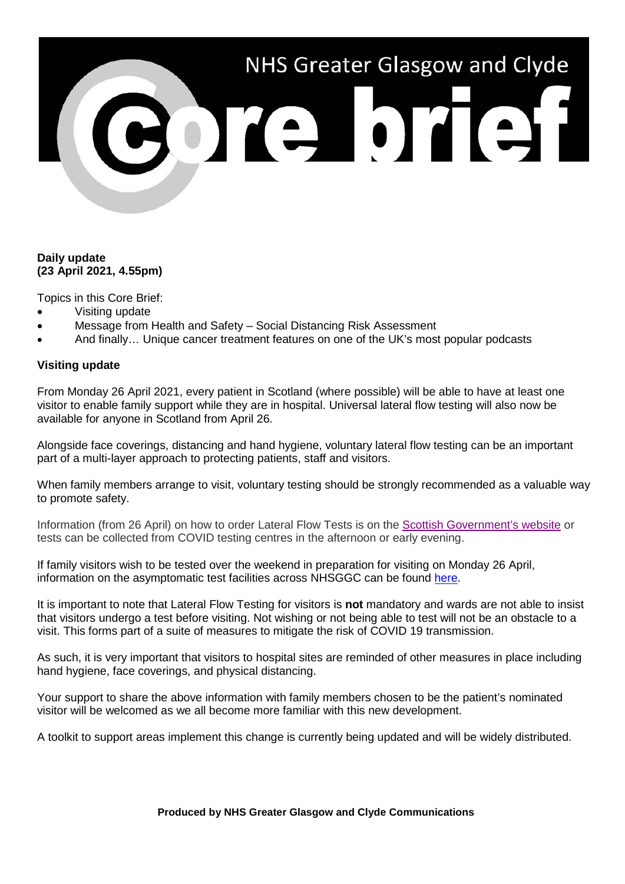# NHS Greater Glasgow and Clyde **BOTE DTET**

# **Daily update (23 April 2021, 4.55pm)**

Topics in this Core Brief:

- Visiting update
- Message from Health and Safety Social Distancing Risk Assessment
- And finally… Unique cancer treatment features on one of the UK's most popular podcasts

## **Visiting update**

From Monday 26 April 2021, every patient in Scotland (where possible) will be able to have at least one visitor to enable family support while they are in hospital. Universal lateral flow testing will also now be available for anyone in Scotland from April 26.

Alongside face coverings, distancing and hand hygiene, voluntary lateral flow testing can be an important part of a multi-layer approach to protecting patients, staff and visitors.

When family members arrange to visit, voluntary testing should be strongly recommended as a valuable way to promote safety.

Information (from 26 April) on how to order Lateral Flow Tests is on the [Scottish Government's website](https://www.gov.scot/publications/coronavirus-covid-19-getting-tested/pages/no-covid-symptoms/) or tests can be collected from COVID testing centres in the afternoon or early evening.

If family visitors wish to be tested over the weekend in preparation for visiting on Monday 26 April, information on the asymptomatic test facilities across NHSGGC can be found [here.](https://www.nhsggc.org.uk/your-health/health-issues/covid-19-coronavirus/for-patients-the-public/asymptomatic-test-facilities/)

It is important to note that Lateral Flow Testing for visitors is **not** mandatory and wards are not able to insist that visitors undergo a test before visiting. Not wishing or not being able to test will not be an obstacle to a visit. This forms part of a suite of measures to mitigate the risk of COVID 19 transmission.

As such, it is very important that visitors to hospital sites are reminded of other measures in place including hand hygiene, face coverings, and physical distancing.

Your support to share the above information with family members chosen to be the patient's nominated visitor will be welcomed as we all become more familiar with this new development.

A toolkit to support areas implement this change is currently being updated and will be widely distributed.